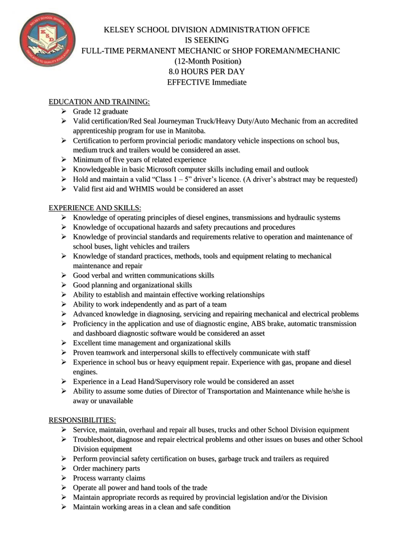

# KELSEY SCHOOL DIVISION ADMINISTRATION OFFICE IS SEEKING FULL-TIME PERMANENT MECHANIC or SHOP FOREMAN/MECHANIC (12-Month Position) 8.0 HOURS PER DAY EFFECTIVE Immediate

#### EDUCATION AND TRAINING:

- ➢ Grade 12 graduate
- ➢ Valid certification/Red Seal Journeyman Truck/Heavy Duty/Auto Mechanic from an accredited apprenticeship program for use in Manitoba.
- $\triangleright$  Certification to perform provincial periodic mandatory vehicle inspections on school bus, medium truck and trailers would be considered an asset.
- $\triangleright$  Minimum of five years of related experience
- ➢ Knowledgeable in basic Microsoft computer skills including email and outlook
- $\triangleright$  Hold and maintain a valid "Class  $1 5$ " driver's licence. (A driver's abstract may be requested)
- ➢ Valid first aid and WHMIS would be considered an asset

## EXPERIENCE AND SKILLS:

- ➢ Knowledge of operating principles of diesel engines, transmissions and hydraulic systems
- ➢ Knowledge of occupational hazards and safety precautions and procedures
- ➢ Knowledge of provincial standards and requirements relative to operation and maintenance of school buses, light vehicles and trailers
- $\triangleright$  Knowledge of standard practices, methods, tools and equipment relating to mechanical maintenance and repair
- $\triangleright$  Good verbal and written communications skills
- $\triangleright$  Good planning and organizational skills
- ➢ Ability to establish and maintain effective working relationships
- $\triangleright$  Ability to work independently and as part of a team
- ➢ Advanced knowledge in diagnosing, servicing and repairing mechanical and electrical problems
- ➢ Proficiency in the application and use of diagnostic engine, ABS brake, automatic transmission and dashboard diagnostic software would be considered an asset
- ➢ Excellent time management and organizational skills
- ➢ Proven teamwork and interpersonal skills to effectively communicate with staff
- ➢ Experience in school bus or heavy equipment repair. Experience with gas, propane and diesel engines.
- ➢ Experience in a Lead Hand/Supervisory role would be considered an asset
- ➢ Ability to assume some duties of Director of Transportation and Maintenance while he/she is away or unavailable

## RESPONSIBILITIES:

- ➢ Service, maintain, overhaul and repair all buses, trucks and other School Division equipment
- ➢ Troubleshoot, diagnose and repair electrical problems and other issues on buses and other School Division equipment
- ➢ Perform provincial safety certification on buses, garbage truck and trailers as required
- ➢ Order machinery parts
- ➢ Process warranty claims
- ➢ Operate all power and hand tools of the trade
- $\triangleright$  Maintain appropriate records as required by provincial legislation and/or the Division
- $\triangleright$  Maintain working areas in a clean and safe condition